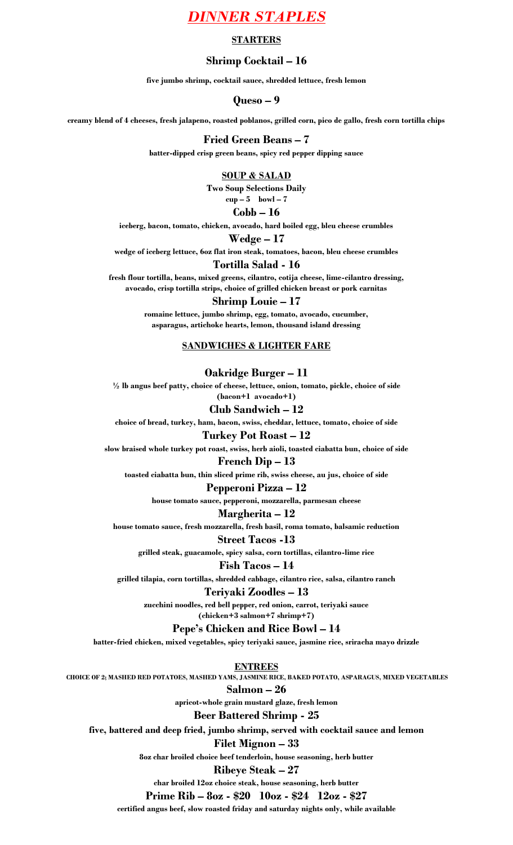# *DINNER STAPLES*

## **STARTERS**

## **Shrimp Cocktail – 16**

**five jumbo shrimp, cocktail sauce, shredded lettuce, fresh lemon**

**Queso – 9**

**creamy blend of 4 cheeses, fresh jalapeno, roasted poblanos, grilled corn, pico de gallo, fresh corn tortilla chips** 

#### **Fried Green Beans – 7**

**batter-dipped crisp green beans, spicy red pepper dipping sauce**

#### **SOUP & SALAD**

**Two Soup Selections Daily cup – 5 bowl – 7**

## **Cobb – 16**

**iceberg, bacon, tomato, chicken, avocado, hard boiled egg, bleu cheese crumbles**

#### **Wedge – 17**

**wedge of iceberg lettuce, 6oz flat iron steak, tomatoes, bacon, bleu cheese crumbles**

### **Tortilla Salad - 16**

**fresh flour tortilla, beans, mixed greens, cilantro, cotija cheese, lime-cilantro dressing, avocado, crisp tortilla strips, choice of grilled chicken breast or pork carnitas**

## **Shrimp Louie – 17**

**romaine lettuce, jumbo shrimp, egg, tomato, avocado, cucumber, asparagus, artichoke hearts, lemon, thousand island dressing**

#### **SANDWICHES & LIGHTER FARE**

## **Oakridge Burger – 11**

**½ lb angus beef patty, choice of cheese, lettuce, onion, tomato, pickle, choice of side (bacon+1 avocado+1)**

## **Club Sandwich – 12**

**choice of bread, turkey, ham, bacon, swiss, cheddar, lettuce, tomato, choice of side**

## **Turkey Pot Roast – 12**

**slow braised whole turkey pot roast, swiss, herb aioli, toasted ciabatta bun, choice of side**

### **French Dip – 13**

**toasted ciabatta bun, thin sliced prime rib, swiss cheese, au jus, choice of side**

## **Pepperoni Pizza – 12**

**house tomato sauce, pepperoni, mozzarella, parmesan cheese**

## **Margherita – 12**

**house tomato sauce, fresh mozzarella, fresh basil, roma tomato, balsamic reduction**

## **Street Tacos -13**

**grilled steak, guacamole, spicy salsa, corn tortillas, cilantro-lime rice**

## **Fish Tacos – 14**

**grilled tilapia, corn tortillas, shredded cabbage, cilantro rice, salsa, cilantro ranch**

## **Teriyaki Zoodles – 13**

**zucchini noodles, red bell pepper, red onion, carrot, teriyaki sauce**

**(chicken+3 salmon+7 shrimp+7)**

## **Pepe's Chicken and Rice Bowl – 14**

**batter-fried chicken, mixed vegetables, spicy teriyaki sauce, jasmine rice, sriracha mayo drizzle**

**ENTREES**

**CHOICE OF 2; MASHED RED POTATOES, MASHED YAMS, JASMINE RICE, BAKED POTATO, ASPARAGUS, MIXED VEGETABLES**

**Salmon – 26**

**apricot-whole grain mustard glaze, fresh lemon**

## **Beer Battered Shrimp - 25**

**five, battered and deep fried, jumbo shrimp, served with cocktail sauce and lemon**

#### **Filet Mignon – 33**

**8oz char broiled choice beef tenderloin, house seasoning, herb butter**

## **Ribeye Steak – 27**

**char broiled 12oz choice steak, house seasoning, herb butter**

**Prime Rib – 8oz - \$20 10oz - \$24 12oz - \$27**

**certified angus beef, slow roasted friday and saturday nights only, while available**